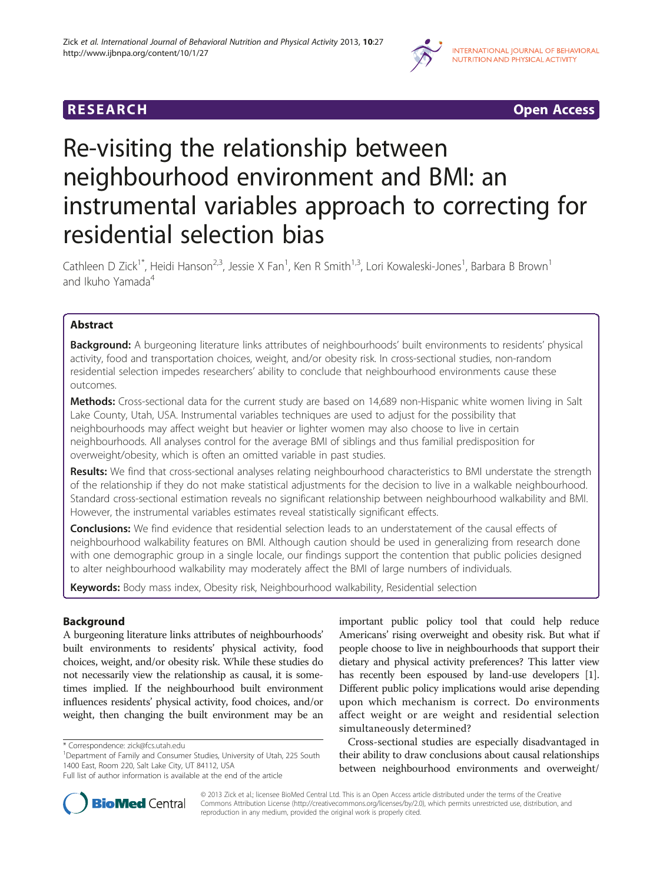

**RESEARCH RESEARCH** *CHECKER CHECKER CHECKER CHECKER CHECKER CHECKER CHECKER CHECKER CHECKER CHECKER CHECKER* 

# Re-visiting the relationship between neighbourhood environment and BMI: an instrumental variables approach to correcting for residential selection bias

Cathleen D Zick<sup>1\*</sup>, Heidi Hanson<sup>2,3</sup>, Jessie X Fan<sup>1</sup>, Ken R Smith<sup>1,3</sup>, Lori Kowaleski-Jones<sup>1</sup>, Barbara B Brown<sup>1</sup> and Ikuho Yamada<sup>4</sup>

# Abstract

Background: A burgeoning literature links attributes of neighbourhoods' built environments to residents' physical activity, food and transportation choices, weight, and/or obesity risk. In cross-sectional studies, non-random residential selection impedes researchers' ability to conclude that neighbourhood environments cause these outcomes.

Methods: Cross-sectional data for the current study are based on 14,689 non-Hispanic white women living in Salt Lake County, Utah, USA. Instrumental variables techniques are used to adjust for the possibility that neighbourhoods may affect weight but heavier or lighter women may also choose to live in certain neighbourhoods. All analyses control for the average BMI of siblings and thus familial predisposition for overweight/obesity, which is often an omitted variable in past studies.

Results: We find that cross-sectional analyses relating neighbourhood characteristics to BMI understate the strength of the relationship if they do not make statistical adjustments for the decision to live in a walkable neighbourhood. Standard cross-sectional estimation reveals no significant relationship between neighbourhood walkability and BMI. However, the instrumental variables estimates reveal statistically significant effects.

**Conclusions:** We find evidence that residential selection leads to an understatement of the causal effects of neighbourhood walkability features on BMI. Although caution should be used in generalizing from research done with one demographic group in a single locale, our findings support the contention that public policies designed to alter neighbourhood walkability may moderately affect the BMI of large numbers of individuals.

Keywords: Body mass index, Obesity risk, Neighbourhood walkability, Residential selection

# Background

A burgeoning literature links attributes of neighbourhoods' built environments to residents' physical activity, food choices, weight, and/or obesity risk. While these studies do not necessarily view the relationship as causal, it is sometimes implied. If the neighbourhood built environment influences residents' physical activity, food choices, and/or weight, then changing the built environment may be an

important public policy tool that could help reduce Americans' rising overweight and obesity risk. But what if people choose to live in neighbourhoods that support their dietary and physical activity preferences? This latter view has recently been espoused by land-use developers [[1](#page-8-0)]. Different public policy implications would arise depending upon which mechanism is correct. Do environments affect weight or are weight and residential selection simultaneously determined?

Cross-sectional studies are especially disadvantaged in their ability to draw conclusions about causal relationships between neighbourhood environments and overweight/



© 2013 Zick et al.; licensee BioMed Central Ltd. This is an Open Access article distributed under the terms of the Creative Commons Attribution License [\(http://creativecommons.org/licenses/by/2.0\)](http://creativecommons.org/licenses/by/2.0), which permits unrestricted use, distribution, and reproduction in any medium, provided the original work is properly cited.

<sup>\*</sup> Correspondence: [zick@fcs.utah.edu](mailto:zick@fcs.utah.edu) <sup>1</sup>

<sup>&</sup>lt;sup>1</sup>Department of Family and Consumer Studies, University of Utah, 225 South 1400 East, Room 220, Salt Lake City, UT 84112, USA

Full list of author information is available at the end of the article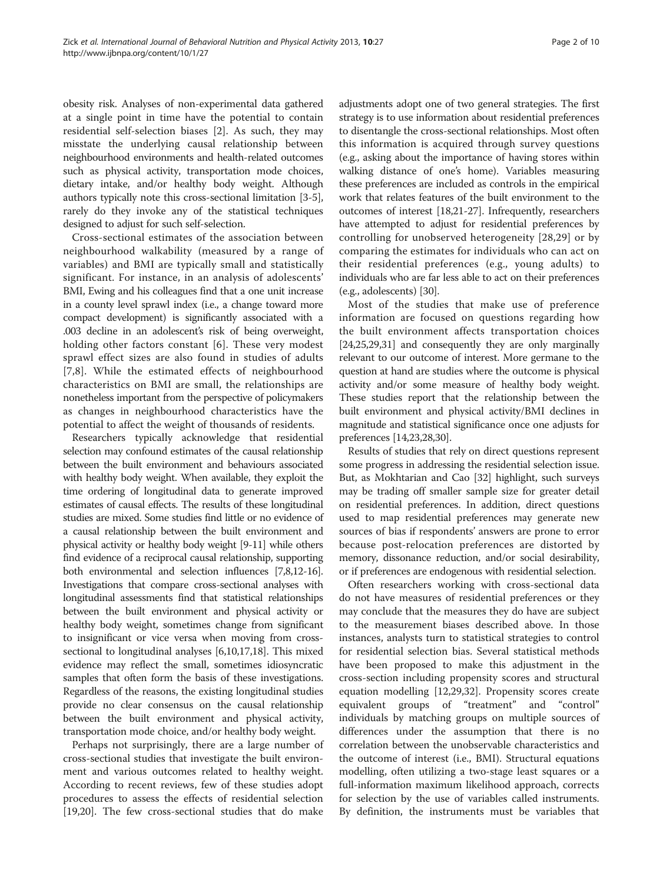obesity risk. Analyses of non-experimental data gathered at a single point in time have the potential to contain residential self-selection biases [[2\]](#page-8-0). As such, they may misstate the underlying causal relationship between neighbourhood environments and health-related outcomes such as physical activity, transportation mode choices, dietary intake, and/or healthy body weight. Although authors typically note this cross-sectional limitation [\[3](#page-8-0)-[5](#page-8-0)], rarely do they invoke any of the statistical techniques designed to adjust for such self-selection.

Cross-sectional estimates of the association between neighbourhood walkability (measured by a range of variables) and BMI are typically small and statistically significant. For instance, in an analysis of adolescents' BMI, Ewing and his colleagues find that a one unit increase in a county level sprawl index (i.e., a change toward more compact development) is significantly associated with a .003 decline in an adolescent's risk of being overweight, holding other factors constant [[6\]](#page-8-0). These very modest sprawl effect sizes are also found in studies of adults [[7,8](#page-8-0)]. While the estimated effects of neighbourhood characteristics on BMI are small, the relationships are nonetheless important from the perspective of policymakers as changes in neighbourhood characteristics have the potential to affect the weight of thousands of residents.

Researchers typically acknowledge that residential selection may confound estimates of the causal relationship between the built environment and behaviours associated with healthy body weight. When available, they exploit the time ordering of longitudinal data to generate improved estimates of causal effects. The results of these longitudinal studies are mixed. Some studies find little or no evidence of a causal relationship between the built environment and physical activity or healthy body weight [[9](#page-8-0)-[11](#page-8-0)] while others find evidence of a reciprocal causal relationship, supporting both environmental and selection influences [[7,8,12-16](#page-8-0)]. Investigations that compare cross-sectional analyses with longitudinal assessments find that statistical relationships between the built environment and physical activity or healthy body weight, sometimes change from significant to insignificant or vice versa when moving from crosssectional to longitudinal analyses [\[6,10,17,18](#page-8-0)]. This mixed evidence may reflect the small, sometimes idiosyncratic samples that often form the basis of these investigations. Regardless of the reasons, the existing longitudinal studies provide no clear consensus on the causal relationship between the built environment and physical activity, transportation mode choice, and/or healthy body weight.

Perhaps not surprisingly, there are a large number of cross-sectional studies that investigate the built environment and various outcomes related to healthy weight. According to recent reviews, few of these studies adopt procedures to assess the effects of residential selection [[19,20\]](#page-8-0). The few cross-sectional studies that do make

adjustments adopt one of two general strategies. The first strategy is to use information about residential preferences to disentangle the cross-sectional relationships. Most often this information is acquired through survey questions (e.g., asking about the importance of having stores within walking distance of one's home). Variables measuring these preferences are included as controls in the empirical work that relates features of the built environment to the outcomes of interest [\[18,21-27\]](#page-8-0). Infrequently, researchers have attempted to adjust for residential preferences by controlling for unobserved heterogeneity [[28](#page-8-0),[29\]](#page-8-0) or by comparing the estimates for individuals who can act on their residential preferences (e.g., young adults) to individuals who are far less able to act on their preferences (e.g., adolescents) [\[30\]](#page-8-0).

Most of the studies that make use of preference information are focused on questions regarding how the built environment affects transportation choices [[24,25,29,31](#page-8-0)] and consequently they are only marginally relevant to our outcome of interest. More germane to the question at hand are studies where the outcome is physical activity and/or some measure of healthy body weight. These studies report that the relationship between the built environment and physical activity/BMI declines in magnitude and statistical significance once one adjusts for preferences [\[14,23,28,30\]](#page-8-0).

Results of studies that rely on direct questions represent some progress in addressing the residential selection issue. But, as Mokhtarian and Cao [[32\]](#page-8-0) highlight, such surveys may be trading off smaller sample size for greater detail on residential preferences. In addition, direct questions used to map residential preferences may generate new sources of bias if respondents' answers are prone to error because post-relocation preferences are distorted by memory, dissonance reduction, and/or social desirability, or if preferences are endogenous with residential selection.

Often researchers working with cross-sectional data do not have measures of residential preferences or they may conclude that the measures they do have are subject to the measurement biases described above. In those instances, analysts turn to statistical strategies to control for residential selection bias. Several statistical methods have been proposed to make this adjustment in the cross-section including propensity scores and structural equation modelling [\[12,29,32\]](#page-8-0). Propensity scores create equivalent groups of "treatment" and "control" individuals by matching groups on multiple sources of differences under the assumption that there is no correlation between the unobservable characteristics and the outcome of interest (i.e., BMI). Structural equations modelling, often utilizing a two-stage least squares or a full-information maximum likelihood approach, corrects for selection by the use of variables called instruments. By definition, the instruments must be variables that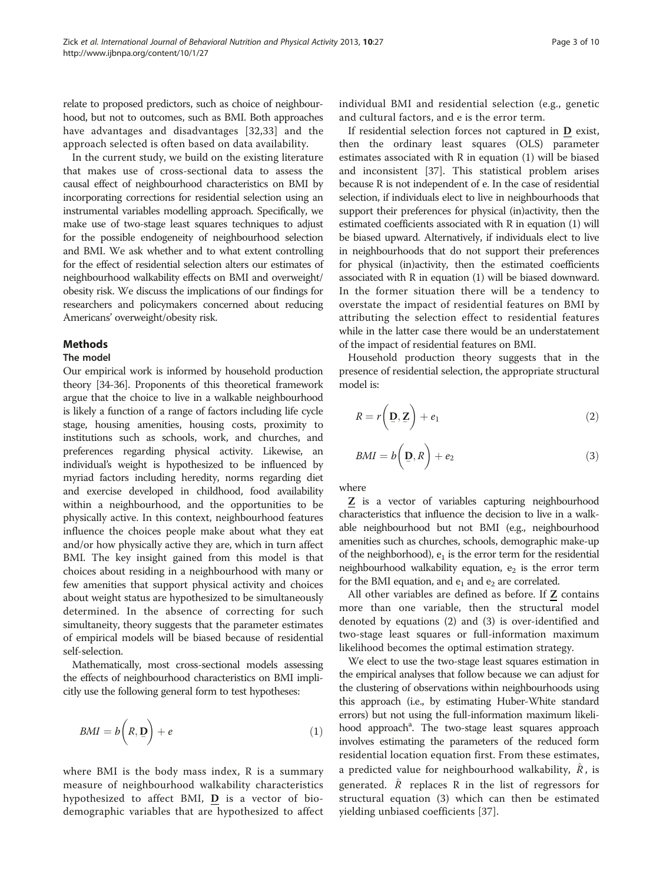relate to proposed predictors, such as choice of neighbourhood, but not to outcomes, such as BMI. Both approaches have advantages and disadvantages [[32,33](#page-8-0)] and the approach selected is often based on data availability.

In the current study, we build on the existing literature that makes use of cross-sectional data to assess the causal effect of neighbourhood characteristics on BMI by incorporating corrections for residential selection using an instrumental variables modelling approach. Specifically, we make use of two-stage least squares techniques to adjust for the possible endogeneity of neighbourhood selection and BMI. We ask whether and to what extent controlling for the effect of residential selection alters our estimates of neighbourhood walkability effects on BMI and overweight/ obesity risk. We discuss the implications of our findings for researchers and policymakers concerned about reducing Americans' overweight/obesity risk.

# Methods

### The model

Our empirical work is informed by household production theory [\[34](#page-8-0)[-36\]](#page-9-0). Proponents of this theoretical framework argue that the choice to live in a walkable neighbourhood is likely a function of a range of factors including life cycle stage, housing amenities, housing costs, proximity to institutions such as schools, work, and churches, and preferences regarding physical activity. Likewise, an individual's weight is hypothesized to be influenced by myriad factors including heredity, norms regarding diet and exercise developed in childhood, food availability within a neighbourhood, and the opportunities to be physically active. In this context, neighbourhood features influence the choices people make about what they eat and/or how physically active they are, which in turn affect BMI. The key insight gained from this model is that choices about residing in a neighbourhood with many or few amenities that support physical activity and choices about weight status are hypothesized to be simultaneously determined. In the absence of correcting for such simultaneity, theory suggests that the parameter estimates of empirical models will be biased because of residential self-selection.

Mathematically, most cross-sectional models assessing the effects of neighbourhood characteristics on BMI implicitly use the following general form to test hypotheses:

$$
BMI = b\left(R, D\right) + e \tag{1}
$$

where BMI is the body mass index, R is a summary measure of neighbourhood walkability characteristics hypothesized to affect BMI, D is a vector of biodemographic variables that are hypothesized to affect individual BMI and residential selection (e.g., genetic and cultural factors, and e is the error term.

If residential selection forces not captured in D exist, then the ordinary least squares (OLS) parameter estimates associated with R in equation (1) will be biased and inconsistent [[37\]](#page-9-0). This statistical problem arises because R is not independent of e. In the case of residential selection, if individuals elect to live in neighbourhoods that support their preferences for physical (in)activity, then the estimated coefficients associated with R in equation (1) will be biased upward. Alternatively, if individuals elect to live in neighbourhoods that do not support their preferences for physical (in)activity, then the estimated coefficients associated with R in equation (1) will be biased downward. In the former situation there will be a tendency to overstate the impact of residential features on BMI by attributing the selection effect to residential features while in the latter case there would be an understatement of the impact of residential features on BMI.

Household production theory suggests that in the presence of residential selection, the appropriate structural model is:

$$
R = r\left(\underline{\mathbf{D}}, \underline{\mathbf{Z}}\right) + e_1 \tag{2}
$$

$$
BMI = b\left(\mathbf{D}, R\right) + e_2\tag{3}
$$

where

Z is a vector of variables capturing neighbourhood characteristics that influence the decision to live in a walkable neighbourhood but not BMI (e.g., neighbourhood amenities such as churches, schools, demographic make-up of the neighborhood),  $e_1$  is the error term for the residential neighbourhood walkability equation,  $e_2$  is the error term for the BMI equation, and  $e_1$  and  $e_2$  are correlated.

All other variables are defined as before. If Z contains more than one variable, then the structural model denoted by equations (2) and (3) is over-identified and two-stage least squares or full-information maximum likelihood becomes the optimal estimation strategy.

We elect to use the two-stage least squares estimation in the empirical analyses that follow because we can adjust for the clustering of observations within neighbourhoods using this approach (i.e., by estimating Huber-White standard errors) but not using the full-information maximum likelihood approach<sup>a</sup>. The two-stage least squares approach involves estimating the parameters of the reduced form residential location equation first. From these estimates, a predicted value for neighbourhood walkability,  $R$ , is generated.  $\overline{R}$  replaces R in the list of regressors for structural equation (3) which can then be estimated yielding unbiased coefficients [[37\]](#page-9-0).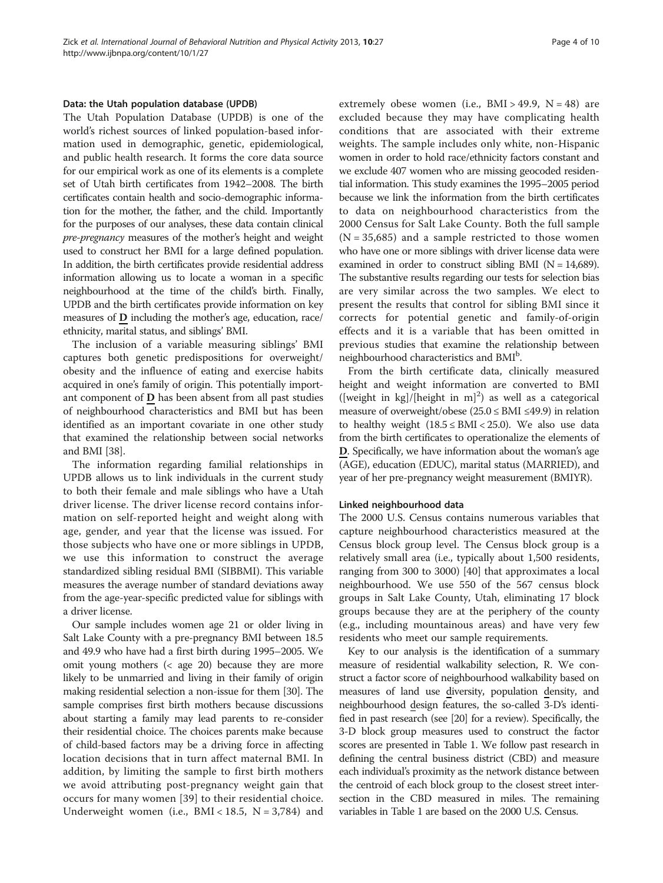# Data: the Utah population database (UPDB)

The Utah Population Database (UPDB) is one of the world's richest sources of linked population-based information used in demographic, genetic, epidemiological, and public health research. It forms the core data source for our empirical work as one of its elements is a complete set of Utah birth certificates from 1942–2008. The birth certificates contain health and socio-demographic information for the mother, the father, and the child. Importantly for the purposes of our analyses, these data contain clinical pre-pregnancy measures of the mother's height and weight used to construct her BMI for a large defined population. In addition, the birth certificates provide residential address information allowing us to locate a woman in a specific neighbourhood at the time of the child's birth. Finally, UPDB and the birth certificates provide information on key measures of D including the mother's age, education, race/ ethnicity, marital status, and siblings' BMI.

The inclusion of a variable measuring siblings' BMI captures both genetic predispositions for overweight/ obesity and the influence of eating and exercise habits acquired in one's family of origin. This potentially important component of D has been absent from all past studies of neighbourhood characteristics and BMI but has been identified as an important covariate in one other study that examined the relationship between social networks and BMI [[38](#page-9-0)].

The information regarding familial relationships in UPDB allows us to link individuals in the current study to both their female and male siblings who have a Utah driver license. The driver license record contains information on self-reported height and weight along with age, gender, and year that the license was issued. For those subjects who have one or more siblings in UPDB, we use this information to construct the average standardized sibling residual BMI (SIBBMI). This variable measures the average number of standard deviations away from the age-year-specific predicted value for siblings with a driver license.

Our sample includes women age 21 or older living in Salt Lake County with a pre-pregnancy BMI between 18.5 and 49.9 who have had a first birth during 1995–2005. We omit young mothers (< age 20) because they are more likely to be unmarried and living in their family of origin making residential selection a non-issue for them [\[30\]](#page-8-0). The sample comprises first birth mothers because discussions about starting a family may lead parents to re-consider their residential choice. The choices parents make because of child-based factors may be a driving force in affecting location decisions that in turn affect maternal BMI. In addition, by limiting the sample to first birth mothers we avoid attributing post-pregnancy weight gain that occurs for many women [[39\]](#page-9-0) to their residential choice. Underweight women (i.e.,  $BMI < 18.5$ ,  $N = 3,784$ ) and extremely obese women (i.e.,  $BMI > 49.9$ ,  $N = 48$ ) are excluded because they may have complicating health conditions that are associated with their extreme weights. The sample includes only white, non-Hispanic women in order to hold race/ethnicity factors constant and we exclude 407 women who are missing geocoded residential information. This study examines the 1995–2005 period because we link the information from the birth certificates to data on neighbourhood characteristics from the 2000 Census for Salt Lake County. Both the full sample  $(N = 35,685)$  and a sample restricted to those women who have one or more siblings with driver license data were examined in order to construct sibling BMI ( $N = 14,689$ ). The substantive results regarding our tests for selection bias are very similar across the two samples. We elect to present the results that control for sibling BMI since it corrects for potential genetic and family-of-origin effects and it is a variable that has been omitted in previous studies that examine the relationship between neighbourhood characteristics and BMI<sup>b</sup>.

From the birth certificate data, clinically measured height and weight information are converted to BMI ([weight in kg]/[height in m]<sup>2</sup>) as well as a categorical measure of overweight/obese (25.0 ≤ BMI ≤49.9) in relation to healthy weight  $(18.5 \leq BMI < 25.0)$ . We also use data from the birth certificates to operationalize the elements of D. Specifically, we have information about the woman's age (AGE), education (EDUC), marital status (MARRIED), and year of her pre-pregnancy weight measurement (BMIYR).

# Linked neighbourhood data

The 2000 U.S. Census contains numerous variables that capture neighbourhood characteristics measured at the Census block group level. The Census block group is a relatively small area (i.e., typically about 1,500 residents, ranging from 300 to 3000) [\[40](#page-9-0)] that approximates a local neighbourhood. We use 550 of the 567 census block groups in Salt Lake County, Utah, eliminating 17 block groups because they are at the periphery of the county (e.g., including mountainous areas) and have very few residents who meet our sample requirements.

Key to our analysis is the identification of a summary measure of residential walkability selection, R. We construct a factor score of neighbourhood walkability based on measures of land use diversity, population density, and neighbourhood design features, the so-called 3-D's identified in past research (see [\[20](#page-8-0)] for a review). Specifically, the 3-D block group measures used to construct the factor scores are presented in Table [1](#page-4-0). We follow past research in defining the central business district (CBD) and measure each individual's proximity as the network distance between the centroid of each block group to the closest street intersection in the CBD measured in miles. The remaining variables in Table [1](#page-4-0) are based on the 2000 U.S. Census.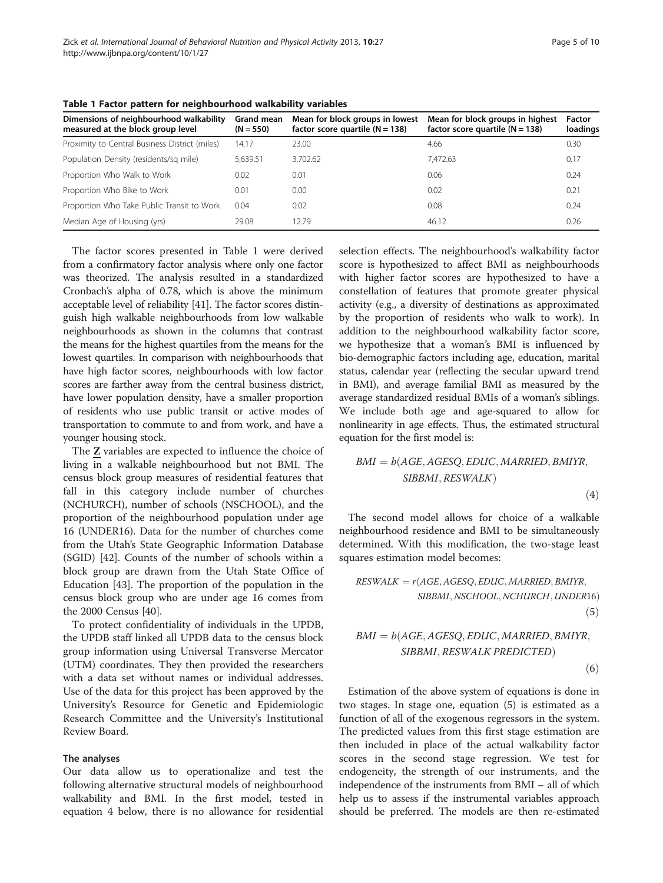| Dimensions of neighbourhood walkability<br>measured at the block group level | Grand mean<br>$(N = 550)$ | Mean for block groups in lowest<br>factor score quartile ( $N = 138$ ) | Mean for block groups in highest<br>factor score quartile ( $N = 138$ ) | Factor<br>loadings |
|------------------------------------------------------------------------------|---------------------------|------------------------------------------------------------------------|-------------------------------------------------------------------------|--------------------|
| Proximity to Central Business District (miles)                               | 14.17                     | 23.00                                                                  | 4.66                                                                    | 0.30               |
| Population Density (residents/sg mile)                                       | 5.639.51                  | 3,702.62                                                               | 7.472.63                                                                | 0.17               |
| Proportion Who Walk to Work                                                  | 0.02                      | 0.01                                                                   | 0.06                                                                    | 0.24               |
| Proportion Who Bike to Work                                                  | 0.01                      | 0.00                                                                   | 0.02                                                                    | 0.21               |
| Proportion Who Take Public Transit to Work                                   | 0.04                      | 0.02                                                                   | 0.08                                                                    | 0.24               |
| Median Age of Housing (yrs)                                                  | 29.08                     | 12.79                                                                  | 46.12                                                                   | 0.26               |

<span id="page-4-0"></span>Table 1 Factor pattern for neighbourhood walkability variables

The factor scores presented in Table 1 were derived from a confirmatory factor analysis where only one factor was theorized. The analysis resulted in a standardized Cronbach's alpha of 0.78, which is above the minimum acceptable level of reliability [\[41\]](#page-9-0). The factor scores distinguish high walkable neighbourhoods from low walkable neighbourhoods as shown in the columns that contrast the means for the highest quartiles from the means for the lowest quartiles. In comparison with neighbourhoods that have high factor scores, neighbourhoods with low factor scores are farther away from the central business district, have lower population density, have a smaller proportion of residents who use public transit or active modes of transportation to commute to and from work, and have a younger housing stock.

The Z variables are expected to influence the choice of living in a walkable neighbourhood but not BMI. The census block group measures of residential features that fall in this category include number of churches (NCHURCH), number of schools (NSCHOOL), and the proportion of the neighbourhood population under age 16 (UNDER16). Data for the number of churches come from the Utah's State Geographic Information Database (SGID) [[42\]](#page-9-0). Counts of the number of schools within a block group are drawn from the Utah State Office of Education [\[43](#page-9-0)]. The proportion of the population in the census block group who are under age 16 comes from the 2000 Census [[40](#page-9-0)].

To protect confidentiality of individuals in the UPDB, the UPDB staff linked all UPDB data to the census block group information using Universal Transverse Mercator (UTM) coordinates. They then provided the researchers with a data set without names or individual addresses. Use of the data for this project has been approved by the University's Resource for Genetic and Epidemiologic Research Committee and the University's Institutional Review Board.

# The analyses

Our data allow us to operationalize and test the following alternative structural models of neighbourhood walkability and BMI. In the first model, tested in equation 4 below, there is no allowance for residential

selection effects. The neighbourhood's walkability factor score is hypothesized to affect BMI as neighbourhoods with higher factor scores are hypothesized to have a constellation of features that promote greater physical activity (e.g., a diversity of destinations as approximated by the proportion of residents who walk to work). In addition to the neighbourhood walkability factor score, we hypothesize that a woman's BMI is influenced by bio-demographic factors including age, education, marital status, calendar year (reflecting the secular upward trend in BMI), and average familial BMI as measured by the average standardized residual BMIs of a woman's siblings. We include both age and age-squared to allow for nonlinearity in age effects. Thus, the estimated structural equation for the first model is:

$$
BMI = b(AGE, AGESQ, EDUC, MARKIED, BMIYR, SIBBMI, RESWALK)
$$
\n(4)

The second model allows for choice of a walkable neighbourhood residence and BMI to be simultaneously determined. With this modification, the two-stage least squares estimation model becomes:

$$
RESWALK = r(AGE, AGESQ, EDUC, MARRIED, BMIYR, SIBBMI, NSCHOOL, NCHURCH, UNDER16)
$$
\n
$$
(5)
$$

$$
BMI = b(AGE, AGESQ, EDUC, MARRIED, BMIYR, SIBBMI, RESWALK PREDICTED)
$$
\n(6)

Estimation of the above system of equations is done in two stages. In stage one, equation (5) is estimated as a function of all of the exogenous regressors in the system. The predicted values from this first stage estimation are then included in place of the actual walkability factor scores in the second stage regression. We test for endogeneity, the strength of our instruments, and the independence of the instruments from BMI – all of which help us to assess if the instrumental variables approach should be preferred. The models are then re-estimated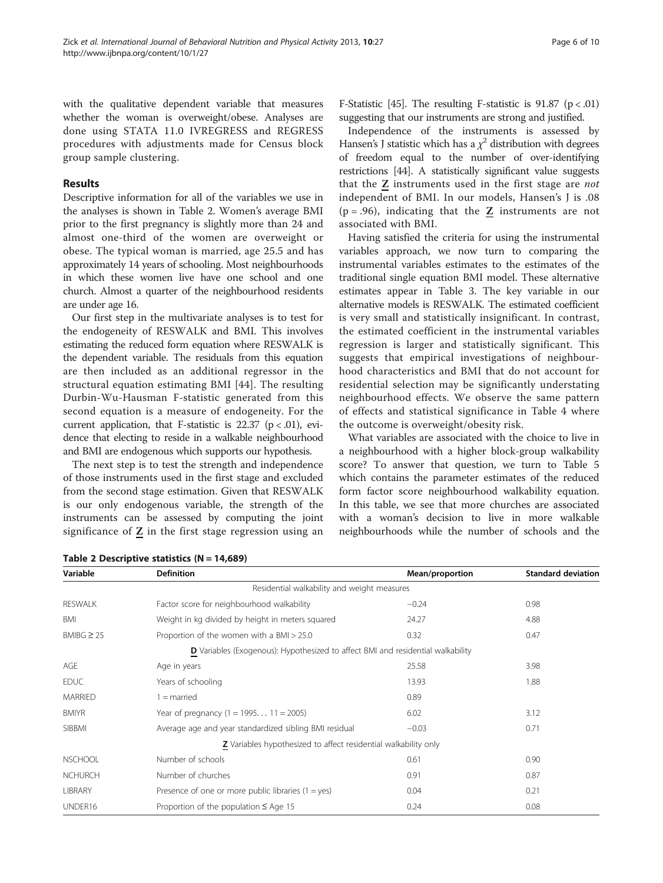with the qualitative dependent variable that measures whether the woman is overweight/obese. Analyses are done using STATA 11.0 IVREGRESS and REGRESS procedures with adjustments made for Census block group sample clustering.

# Results

Descriptive information for all of the variables we use in the analyses is shown in Table 2. Women's average BMI prior to the first pregnancy is slightly more than 24 and almost one-third of the women are overweight or obese. The typical woman is married, age 25.5 and has approximately 14 years of schooling. Most neighbourhoods in which these women live have one school and one church. Almost a quarter of the neighbourhood residents are under age 16.

Our first step in the multivariate analyses is to test for the endogeneity of RESWALK and BMI. This involves estimating the reduced form equation where RESWALK is the dependent variable. The residuals from this equation are then included as an additional regressor in the structural equation estimating BMI [\[44\]](#page-9-0). The resulting Durbin-Wu-Hausman F-statistic generated from this second equation is a measure of endogeneity. For the current application, that F-statistic is  $22.37$  (p < .01), evidence that electing to reside in a walkable neighbourhood and BMI are endogenous which supports our hypothesis.

The next step is to test the strength and independence of those instruments used in the first stage and excluded from the second stage estimation. Given that RESWALK is our only endogenous variable, the strength of the instruments can be assessed by computing the joint significance of Z in the first stage regression using an

|                                                           |  |  | F-Statistic [45]. The resulting F-statistic is $91.87$ ( $p < .01$ ) |
|-----------------------------------------------------------|--|--|----------------------------------------------------------------------|
| suggesting that our instruments are strong and justified. |  |  |                                                                      |

Independence of the instruments is assessed by Hansen's J statistic which has a  $\chi^2$  distribution with degrees of freedom equal to the number of over-identifying restrictions [[44](#page-9-0)]. A statistically significant value suggests that the Z instruments used in the first stage are *not* independent of BMI. In our models, Hansen's J is .08  $(p = .96)$ , indicating that the **Z** instruments are not associated with BMI.

Having satisfied the criteria for using the instrumental variables approach, we now turn to comparing the instrumental variables estimates to the estimates of the traditional single equation BMI model. These alternative estimates appear in Table [3](#page-6-0). The key variable in our alternative models is RESWALK. The estimated coefficient is very small and statistically insignificant. In contrast, the estimated coefficient in the instrumental variables regression is larger and statistically significant. This suggests that empirical investigations of neighbourhood characteristics and BMI that do not account for residential selection may be significantly understating neighbourhood effects. We observe the same pattern of effects and statistical significance in Table [4](#page-6-0) where the outcome is overweight/obesity risk.

What variables are associated with the choice to live in a neighbourhood with a higher block-group walkability score? To answer that question, we turn to Table [5](#page-6-0) which contains the parameter estimates of the reduced form factor score neighbourhood walkability equation. In this table, we see that more churches are associated with a woman's decision to live in more walkable neighbourhoods while the number of schools and the

| Variable        | <b>Definition</b>                                                               | Mean/proportion | <b>Standard deviation</b> |
|-----------------|---------------------------------------------------------------------------------|-----------------|---------------------------|
|                 | Residential walkability and weight measures                                     |                 |                           |
| <b>RESWALK</b>  | Factor score for neighbourhood walkability                                      | $-0.24$         | 0.98                      |
| BMI             | Weight in kg divided by height in meters squared                                | 24.27           | 4.88                      |
| BMIBG $\geq$ 25 | Proportion of the women with a BMI > 25.0                                       | 0.32            | 0.47                      |
|                 | D Variables (Exogenous): Hypothesized to affect BMI and residential walkability |                 |                           |
| AGE             | Age in years                                                                    | 25.58           | 3.98                      |
| <b>EDUC</b>     | Years of schooling                                                              | 13.93           | 1.88                      |
| <b>MARRIED</b>  | $1 =$ married                                                                   | 0.89            |                           |
| <b>BMIYR</b>    | Year of pregnancy $(1 = 1995 11 = 2005)$                                        | 6.02            | 3.12                      |
| <b>SIBBMI</b>   | Average age and year standardized sibling BMI residual                          | $-0.03$         | 0.71                      |
|                 | Z Variables hypothesized to affect residential walkability only                 |                 |                           |
| <b>NSCHOOL</b>  | Number of schools                                                               | 0.61            | 0.90                      |
| <b>NCHURCH</b>  | Number of churches                                                              | 0.91            | 0.87                      |
| LIBRARY         | Presence of one or more public libraries $(1 = yes)$                            | 0.04            | 0.21                      |
| UNDER16         | Proportion of the population $\leq$ Age 15                                      | 0.24            | 0.08                      |

Table 2 Descriptive statistics  $(N = 14,689)$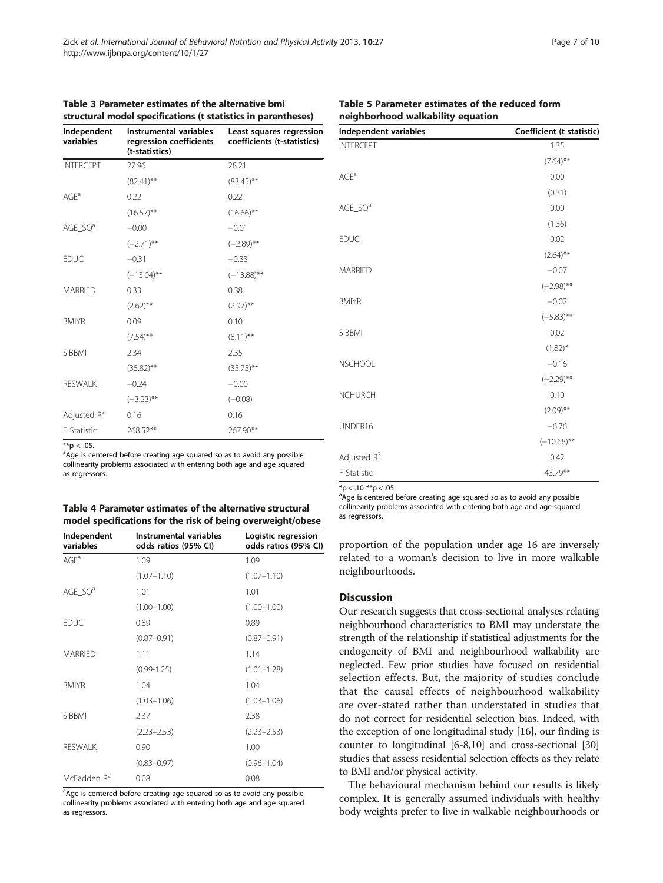### <span id="page-6-0"></span>Table 3 Parameter estimates of the alternative bmi structural model specifications (t statistics in parentheses)

| Independent<br>variables | Instrumental variables<br>regression coefficients<br>(t-statistics) | Least squares regression<br>coefficients (t-statistics) |
|--------------------------|---------------------------------------------------------------------|---------------------------------------------------------|
| <b>INTERCEPT</b>         | 27.96                                                               | 28.21                                                   |
|                          | $(82.41)$ **                                                        | $(83.45)$ **                                            |
| $AGE^a$                  | 0.22                                                                | 0.22                                                    |
|                          | $(16.57)$ **                                                        | $(16.66)$ **                                            |
| $AGE_SQ^a$               | $-0.00$                                                             | $-0.01$                                                 |
|                          | $(-2.71)$ **                                                        | $(-2.89)$ **                                            |
| <b>EDUC</b>              | $-0.31$                                                             | $-0.33$                                                 |
|                          | $(-13.04)$ **                                                       | $(-13.88)$ **                                           |
| <b>MARRIED</b>           | 0.33                                                                | 0.38                                                    |
|                          | $(2.62)$ **                                                         | $(2.97)$ **                                             |
| <b>BMIYR</b>             | 0.09                                                                | 0.10                                                    |
|                          | $(7.54)$ **                                                         | $(8.11)$ **                                             |
| SIBBMI                   | 2.34                                                                | 2.35                                                    |
|                          | $(35.82)$ **                                                        | $(35.75)$ **                                            |
| <b>RESWALK</b>           | $-0.24$                                                             | $-0.00$                                                 |
|                          | $(-3.23)$ **                                                        | $(-0.08)$                                               |
| Adjusted R <sup>2</sup>  | 0.16                                                                | 0.16                                                    |
| F Statistic              | 268.52**                                                            | 267.90**                                                |

 $*$ <sub>\*</sub> $p$  < .05.

<sup>a</sup>Age is centered before creating age squared so as to avoid any possible collinearity problems associated with entering both age and age squared as regressors.

Table 4 Parameter estimates of the alternative structural model specifications for the risk of being overweight/obese

| Independent<br>variables | Instrumental variables<br>odds ratios (95% CI) | Logistic regression<br>odds ratios (95% CI) |
|--------------------------|------------------------------------------------|---------------------------------------------|
| $AGF^a$                  | 1.09                                           | 1.09                                        |
|                          | $(1.07 - 1.10)$                                | $(1.07 - 1.10)$                             |
| AGE $SOa$                | 1.01                                           | 1.01                                        |
|                          | $(1.00 - 1.00)$                                | $(1.00 - 1.00)$                             |
| <b>EDUC</b>              | 0.89                                           | 0.89                                        |
|                          | $(0.87 - 0.91)$                                | $(0.87 - 0.91)$                             |
| <b>MARRIED</b>           | 1.11                                           | 1.14                                        |
|                          | $(0.99 - 1.25)$                                | $(1.01 - 1.28)$                             |
| <b>BMIYR</b>             | 1.04                                           | 1.04                                        |
|                          | $(1.03 - 1.06)$                                | $(1.03 - 1.06)$                             |
| <b>SIBBMI</b>            | 2.37                                           | 2.38                                        |
|                          | $(2.23 - 2.53)$                                | $(2.23 - 2.53)$                             |
| <b>RESWALK</b>           | 0.90                                           | 1.00                                        |
|                          | $(0.83 - 0.97)$                                | $(0.96 - 1.04)$                             |
| McFadden $R^2$           | 0.08                                           | 0.08                                        |

<sup>a</sup>Age is centered before creating age squared so as to avoid any possible collinearity problems associated with entering both age and age squared as regressors.

| Independent variables | Coefficient (t statistic) |
|-----------------------|---------------------------|
| <b>INTERCEPT</b>      | 1.35                      |
|                       | $(7.64)$ **               |
| AGE <sup>a</sup>      | 0.00                      |
|                       | (0.31)                    |
| $AGE_SQ^a$            | 0.00                      |
|                       | (1.36)                    |
| <b>EDUC</b>           | 0.02                      |
|                       | $(2.64)$ **               |
| <b>MARRIED</b>        | $-0.07$                   |
|                       | $(-2.98)$ **              |
| <b>BMIYR</b>          | $-0.02$                   |
|                       | $(-5.83)$ **              |
| <b>SIBBMI</b>         | 0.02                      |
|                       | $(1.82)^*$                |
| <b>NSCHOOL</b>        | $-0.16$                   |
|                       | $(-2.29)$ **              |
| <b>NCHURCH</b>        | 0.10                      |
|                       | $(2.09)$ **               |
| UNDER16               | $-6.76$                   |

# Table 5 Parameter estimates of the reduced form neighborhood walkability equation

 $*$ p < .10  $**$ p < .05.

<sup>a</sup>Age is centered before creating age squared so as to avoid any possible collinearity problems associated with entering both age and age squared as regressors.

Adjusted  $R^2$  0.42 F Statistic 43.79\*\*

proportion of the population under age 16 are inversely related to a woman's decision to live in more walkable neighbourhoods.

#### **Discussion**

Our research suggests that cross-sectional analyses relating neighbourhood characteristics to BMI may understate the strength of the relationship if statistical adjustments for the endogeneity of BMI and neighbourhood walkability are neglected. Few prior studies have focused on residential selection effects. But, the majority of studies conclude that the causal effects of neighbourhood walkability are over-stated rather than understated in studies that do not correct for residential selection bias. Indeed, with the exception of one longitudinal study [\[16\]](#page-8-0), our finding is counter to longitudinal [[6-8,10\]](#page-8-0) and cross-sectional [[30](#page-8-0)] studies that assess residential selection effects as they relate to BMI and/or physical activity.

The behavioural mechanism behind our results is likely complex. It is generally assumed individuals with healthy body weights prefer to live in walkable neighbourhoods or

 $(-10.68)$ <sup>\*\*</sup>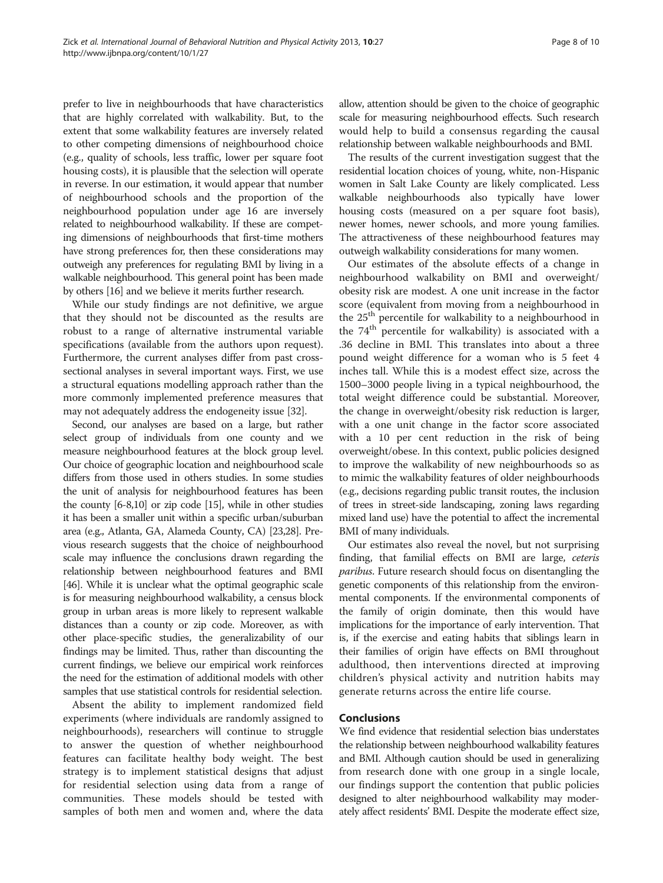prefer to live in neighbourhoods that have characteristics that are highly correlated with walkability. But, to the extent that some walkability features are inversely related to other competing dimensions of neighbourhood choice (e.g., quality of schools, less traffic, lower per square foot housing costs), it is plausible that the selection will operate in reverse. In our estimation, it would appear that number of neighbourhood schools and the proportion of the neighbourhood population under age 16 are inversely related to neighbourhood walkability. If these are competing dimensions of neighbourhoods that first-time mothers have strong preferences for, then these considerations may outweigh any preferences for regulating BMI by living in a walkable neighbourhood. This general point has been made by others [\[16\]](#page-8-0) and we believe it merits further research.

While our study findings are not definitive, we argue that they should not be discounted as the results are robust to a range of alternative instrumental variable specifications (available from the authors upon request). Furthermore, the current analyses differ from past crosssectional analyses in several important ways. First, we use a structural equations modelling approach rather than the more commonly implemented preference measures that may not adequately address the endogeneity issue [\[32\]](#page-8-0).

Second, our analyses are based on a large, but rather select group of individuals from one county and we measure neighbourhood features at the block group level. Our choice of geographic location and neighbourhood scale differs from those used in others studies. In some studies the unit of analysis for neighbourhood features has been the county [\[6-8,10\]](#page-8-0) or zip code [\[15](#page-8-0)], while in other studies it has been a smaller unit within a specific urban/suburban area (e.g., Atlanta, GA, Alameda County, CA) [\[23,28\]](#page-8-0). Previous research suggests that the choice of neighbourhood scale may influence the conclusions drawn regarding the relationship between neighbourhood features and BMI [[46](#page-9-0)]. While it is unclear what the optimal geographic scale is for measuring neighbourhood walkability, a census block group in urban areas is more likely to represent walkable distances than a county or zip code. Moreover, as with other place-specific studies, the generalizability of our findings may be limited. Thus, rather than discounting the current findings, we believe our empirical work reinforces the need for the estimation of additional models with other samples that use statistical controls for residential selection.

Absent the ability to implement randomized field experiments (where individuals are randomly assigned to neighbourhoods), researchers will continue to struggle to answer the question of whether neighbourhood features can facilitate healthy body weight. The best strategy is to implement statistical designs that adjust for residential selection using data from a range of communities. These models should be tested with samples of both men and women and, where the data

allow, attention should be given to the choice of geographic scale for measuring neighbourhood effects. Such research would help to build a consensus regarding the causal relationship between walkable neighbourhoods and BMI.

The results of the current investigation suggest that the residential location choices of young, white, non-Hispanic women in Salt Lake County are likely complicated. Less walkable neighbourhoods also typically have lower housing costs (measured on a per square foot basis), newer homes, newer schools, and more young families. The attractiveness of these neighbourhood features may outweigh walkability considerations for many women.

Our estimates of the absolute effects of a change in neighbourhood walkability on BMI and overweight/ obesity risk are modest. A one unit increase in the factor score (equivalent from moving from a neighbourhood in the 25<sup>th</sup> percentile for walkability to a neighbourhood in the  $74<sup>th</sup>$  percentile for walkability) is associated with a .36 decline in BMI. This translates into about a three pound weight difference for a woman who is 5 feet 4 inches tall. While this is a modest effect size, across the 1500–3000 people living in a typical neighbourhood, the total weight difference could be substantial. Moreover, the change in overweight/obesity risk reduction is larger, with a one unit change in the factor score associated with a 10 per cent reduction in the risk of being overweight/obese. In this context, public policies designed to improve the walkability of new neighbourhoods so as to mimic the walkability features of older neighbourhoods (e.g., decisions regarding public transit routes, the inclusion of trees in street-side landscaping, zoning laws regarding mixed land use) have the potential to affect the incremental BMI of many individuals.

Our estimates also reveal the novel, but not surprising finding, that familial effects on BMI are large, ceteris paribus. Future research should focus on disentangling the genetic components of this relationship from the environmental components. If the environmental components of the family of origin dominate, then this would have implications for the importance of early intervention. That is, if the exercise and eating habits that siblings learn in their families of origin have effects on BMI throughout adulthood, then interventions directed at improving children's physical activity and nutrition habits may generate returns across the entire life course.

# **Conclusions**

We find evidence that residential selection bias understates the relationship between neighbourhood walkability features and BMI. Although caution should be used in generalizing from research done with one group in a single locale, our findings support the contention that public policies designed to alter neighbourhood walkability may moderately affect residents' BMI. Despite the moderate effect size,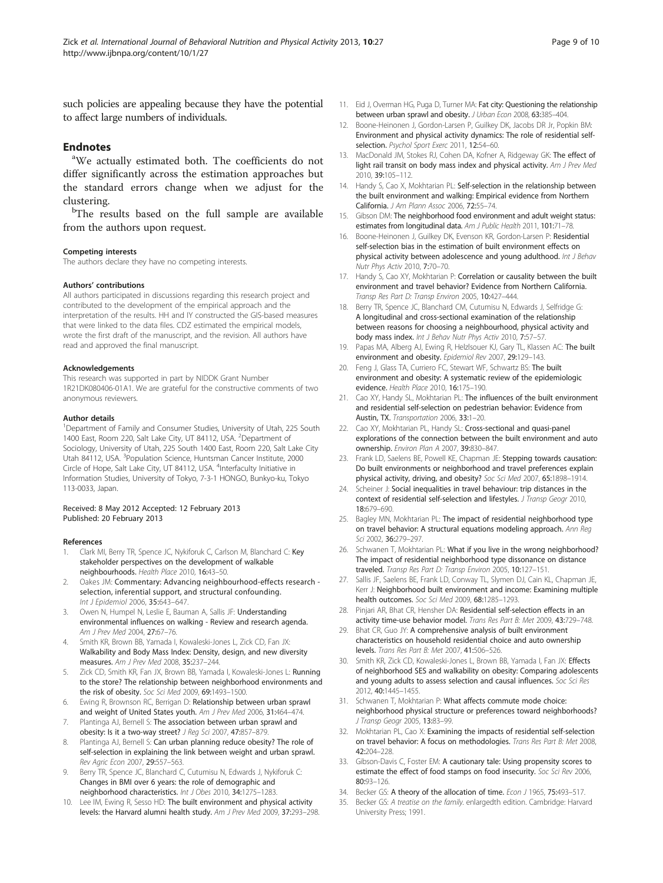<span id="page-8-0"></span>such policies are appealing because they have the potential to affect large numbers of individuals.

# **Endnotes**

We actually estimated both. The coefficients do not differ significantly across the estimation approaches but the standard errors change when we adjust for the clustering.

<sup>b</sup>The results based on the full sample are available from the authors upon request.

#### Competing interests

The authors declare they have no competing interests.

#### Authors' contributions

All authors participated in discussions regarding this research project and contributed to the development of the empirical approach and the interpretation of the results. HH and IY constructed the GIS-based measures that were linked to the data files. CDZ estimated the empirical models, wrote the first draft of the manuscript, and the revision. All authors have read and approved the final manuscript.

#### Acknowledgements

This research was supported in part by NIDDK Grant Number 1R21DK080406-01A1. We are grateful for the constructive comments of two anonymous reviewers.

#### Author details

<sup>1</sup>Department of Family and Consumer Studies, University of Utah, 225 South 1400 East, Room 220, Salt Lake City, UT 84112, USA. <sup>2</sup>Department of Sociology, University of Utah, 225 South 1400 East, Room 220, Salt Lake City Utah 84112, USA. <sup>3</sup>Population Science, Huntsman Cancer Institute, 2000 Circle of Hope, Salt Lake City, UT 84112, USA. <sup>4</sup>Interfaculty Initiative in Information Studies, University of Tokyo, 7-3-1 HONGO, Bunkyo-ku, Tokyo 113-0033, Japan.

#### Received: 8 May 2012 Accepted: 12 February 2013 Published: 20 February 2013

#### References

- Clark MI, Berry TR, Spence JC, Nykiforuk C, Carlson M, Blanchard C: Key stakeholder perspectives on the development of walkable neighbourhoods. Health Place 2010, 16:43–50.
- Oakes JM: Commentary: Advancing neighbourhood-effects research selection, inferential support, and structural confounding. Int J Epidemiol 2006, 35:643–647.
- 3. Owen N, Humpel N, Leslie E, Bauman A, Sallis JF: Understanding environmental influences on walking - Review and research agenda. Am J Prev Med 2004, 27:67–76.
- 4. Smith KR, Brown BB, Yamada I, Kowaleski-Jones L, Zick CD, Fan JX: Walkability and Body Mass Index: Density, design, and new diversity measures. Am J Prev Med 2008, 35:237–244.
- 5. Zick CD, Smith KR, Fan JX, Brown BB, Yamada I, Kowaleski-Jones L: Running to the store? The relationship between neighborhood environments and the risk of obesity. Soc Sci Med 2009, 69:1493–1500.
- 6. Ewing R, Brownson RC, Berrigan D: Relationship between urban sprawl and weight of United States youth. Am J Prev Med 2006, 31:464–474.
- 7. Plantinga AJ, Bernell S: The association between urban sprawl and obesity: Is it a two-way street? J Reg Sci 2007, 47:857-879.
- 8. Plantinga AJ, Bernell S: Can urban planning reduce obesity? The role of self-selection in explaining the link between weight and urban sprawl. Rev Agric Econ 2007, 29:557–563.
- 9. Berry TR, Spence JC, Blanchard C, Cutumisu N, Edwards J, Nykiforuk C: Changes in BMI over 6 years: the role of demographic and neighborhood characteristics. Int J Obes 2010, 34:1275–1283.
- 10. Lee IM, Ewing R, Sesso HD: The built environment and physical activity levels: the Harvard alumni health study. Am J Prev Med 2009, 37:293–298.
- 11. Eid J, Overman HG, Puga D, Turner MA: Fat city: Questioning the relationship between urban sprawl and obesity. J Urban Econ 2008, 63:385–404.
- 12. Boone-Heinonen J, Gordon-Larsen P, Guilkey DK, Jacobs DR Jr, Popkin BM: Environment and physical activity dynamics: The role of residential selfselection. Psychol Sport Exerc 2011, 12:54-60.
- 13. MacDonald JM, Stokes RJ, Cohen DA, Kofner A, Ridgeway GK: The effect of light rail transit on body mass index and physical activity. Am J Prev Med 2010, 39:105–112.
- 14. Handy S, Cao X, Mokhtarian PL: Self-selection in the relationship between the built environment and walking: Empirical evidence from Northern California. J Am Plann Assoc 2006, 72:55–74.
- 15. Gibson DM: The neighborhood food environment and adult weight status: estimates from longitudinal data. Am J Public Health 2011, 101:71-78.
- 16. Boone-Heinonen J, Guilkey DK, Evenson KR, Gordon-Larsen P: Residential self-selection bias in the estimation of built environment effects on physical activity between adolescence and young adulthood. Int J Behav Nutr Phys Activ 2010, 7:70–70.
- 17. Handy S, Cao XY, Mokhtarian P: Correlation or causality between the built environment and travel behavior? Evidence from Northern California. Transp Res Part D: Transp Environ 2005, 10:427–444.
- 18. Berry TR, Spence JC, Blanchard CM, Cutumisu N, Edwards J, Selfridge G: A longitudinal and cross-sectional examination of the relationship between reasons for choosing a neighbourhood, physical activity and body mass index. Int J Behav Nutr Phys Activ 2010, 7:57–57.
- 19. Papas MA, Alberg AJ, Ewing R, Helzlsouer KJ, Gary TL, Klassen AC: The built environment and obesity. Epidemiol Rev 2007, 29:129–143.
- 20. Feng J, Glass TA, Curriero FC, Stewart WF, Schwartz BS: The built environment and obesity: A systematic review of the epidemiologic evidence. Health Place 2010, 16:175–190.
- 21. Cao XY, Handy SL, Mokhtarian PL: The influences of the built environment and residential self-selection on pedestrian behavior: Evidence from Austin, TX. Transportation 2006, 33:1–20.
- 22. Cao XY, Mokhtarian PL, Handy SL: Cross-sectional and quasi-panel explorations of the connection between the built environment and auto ownership. Environ Plan A 2007, 39:830–847.
- 23. Frank LD, Saelens BE, Powell KE, Chapman JE: Stepping towards causation: Do built environments or neighborhood and travel preferences explain physical activity, driving, and obesity? Soc Sci Med 2007, 65:1898–1914.
- 24. Scheiner J: Social inequalities in travel behaviour: trip distances in the context of residential self-selection and lifestyles. J Transp Geogr 2010, 18:679–690.
- 25. Bagley MN, Mokhtarian PL: The impact of residential neighborhood type on travel behavior: A structural equations modeling approach. Ann Reg Sci 2002, 36:279–297.
- 26. Schwanen T, Mokhtarian PL: What if you live in the wrong neighborhood? The impact of residential neighborhood type dissonance on distance traveled. Transp Res Part D: Transp Environ 2005, 10:127–151.
- 27. Sallis JF, Saelens BE, Frank LD, Conway TL, Slymen DJ, Cain KL, Chapman JE, Kerr J: Neighborhood built environment and income: Examining multiple health outcomes. Soc Sci Med 2009, 68:1285–1293.
- 28. Pinjari AR, Bhat CR, Hensher DA: Residential self-selection effects in an activity time-use behavior model. Trans Res Part B: Met 2009, 43:729–748.
- 29. Bhat CR, Guo JY: A comprehensive analysis of built environment characteristics on household residential choice and auto ownership levels. Trans Res Part B: Met 2007, 41:506–526.
- 30. Smith KR, Zick CD, Kowaleski-Jones L, Brown BB, Yamada I, Fan JX: Effects of neighborhood SES and walkability on obesity: Comparing adolescents and young adults to assess selection and causal influences. Soc Sci Res 2012, 40:1445–1455.
- 31. Schwanen T, Mokhtarian P: What affects commute mode choice: neighborhood physical structure or preferences toward neighborhoods? J Transp Geogr 2005, 13:83–99.
- 32. Mokhtarian PL, Cao X: Examining the impacts of residential self-selection on travel behavior: A focus on methodologies. Trans Res Part B: Met 2008, 42:204–228.
- 33. Gibson-Davis C, Foster EM: A cautionary tale: Using propensity scores to estimate the effect of food stamps on food insecurity. Soc Sci Rev 2006, 80:93–126.
- 34. Becker GS: A theory of the allocation of time. Econ J 1965, 75:493-517.
- 35. Becker GS: A treatise on the family. enlargedth edition. Cambridge: Harvard University Press; 1991.